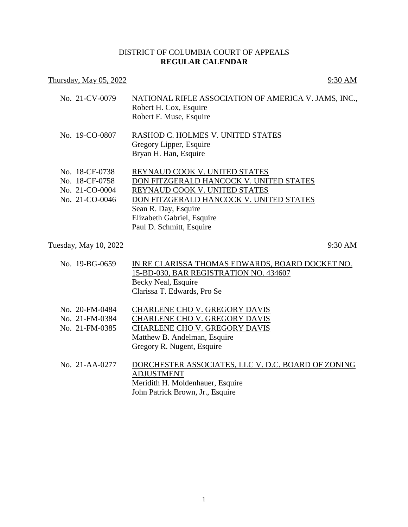## DISTRICT OF COLUMBIA COURT OF APPEALS **REGULAR CALENDAR**

## Thursday, May  $05, 2022$  9:30 AM

| No. 21-CV-0079        | NATIONAL RIFLE ASSOCIATION OF AMERICA V. JAMS, INC.,<br>Robert H. Cox, Esquire<br>Robert F. Muse, Esquire |         |
|-----------------------|-----------------------------------------------------------------------------------------------------------|---------|
| No. 19-CO-0807        | RASHOD C. HOLMES V. UNITED STATES<br>Gregory Lipper, Esquire<br>Bryan H. Han, Esquire                     |         |
| No. 18-CF-0738        | REYNAUD COOK V. UNITED STATES                                                                             |         |
| No. 18-CF-0758        | DON FITZGERALD HANCOCK V. UNITED STATES                                                                   |         |
| No. 21-CO-0004        | REYNAUD COOK V. UNITED STATES                                                                             |         |
| No. 21-CO-0046        | DON FITZGERALD HANCOCK V. UNITED STATES                                                                   |         |
|                       | Sean R. Day, Esquire                                                                                      |         |
|                       | Elizabeth Gabriel, Esquire                                                                                |         |
|                       | Paul D. Schmitt, Esquire                                                                                  |         |
| Tuesday, May 10, 2022 |                                                                                                           | 9:30 AM |
|                       |                                                                                                           |         |

| No. 19-BG-0659                                                                         | IN RE CLARISSA THOMAS EDWARDS, BOARD DOCKET NO.<br>15-BD-030, BAR REGISTRATION NO. 434607<br>Becky Neal, Esquire<br>Clarissa T. Edwards, Pro Se |
|----------------------------------------------------------------------------------------|-------------------------------------------------------------------------------------------------------------------------------------------------|
| $\mathbf{M}$ . $\mathbf{A} \mathbf{A}$ $\mathbf{F} \mathbf{M}$ $\mathbf{A} \mathbf{A}$ | $C_{\rm I}$ and $C_{\rm I}$ and $C_{\rm I}$ and $C_{\rm I}$ and $C_{\rm I}$                                                                     |

- No. 20-FM-0484 CHARLENE CHO V. GREGORY DAVIS
- No. 21-FM-0384 CHARLENE CHO V. GREGORY DAVIS No. 21-FM-0385 CHARLENE CHO V. GREGORY DAVIS

Matthew B. Andelman, Esquire Gregory R. Nugent, Esquire

No. 21-AA-0277 DORCHESTER ASSOCIATES, LLC V. D.C. BOARD OF ZONING ADJUSTMENT Meridith H. Moldenhauer, Esquire John Patrick Brown, Jr., Esquire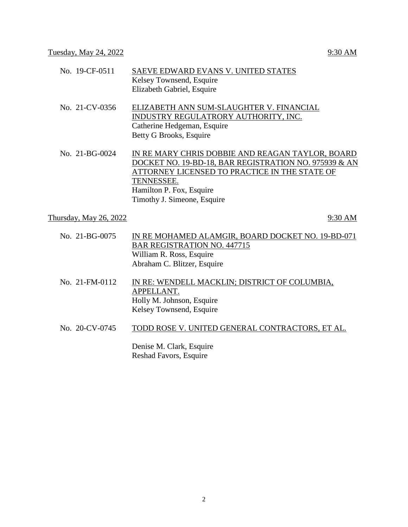| No. 19-CF-0511         | SAEVE EDWARD EVANS V. UNITED STATES<br>Kelsey Townsend, Esquire<br>Elizabeth Gabriel, Esquire                                                                                                                                       |
|------------------------|-------------------------------------------------------------------------------------------------------------------------------------------------------------------------------------------------------------------------------------|
| No. 21-CV-0356         | ELIZABETH ANN SUM-SLAUGHTER V. FINANCIAL<br>INDUSTRY REGULATRORY AUTHORITY, INC.<br>Catherine Hedgeman, Esquire<br>Betty G Brooks, Esquire                                                                                          |
| No. $21-BG-0024$       | IN RE MARY CHRIS DOBBIE AND REAGAN TAYLOR, BOARD<br>DOCKET NO. 19-BD-18, BAR REGISTRATION NO. 975939 & AN<br>ATTORNEY LICENSED TO PRACTICE IN THE STATE OF<br>TENNESSEE.<br>Hamilton P. Fox, Esquire<br>Timothy J. Simeone, Esquire |
| Thursday, May 26, 2022 | 9:30 AM                                                                                                                                                                                                                             |

- No. 21-BG-0075 IN RE MOHAMED ALAMGIR, BOARD DOCKET NO. 19-BD-071 BAR REGISTRATION NO. 447715 William R. Ross, Esquire Abraham C. Blitzer, Esquire
- No. 21-FM-0112 IN RE: WENDELL MACKLIN; DISTRICT OF COLUMBIA, APPELLANT. Holly M. Johnson, Esquire Kelsey Townsend, Esquire
- No. 20-CV-0745 TODD ROSE V. UNITED GENERAL CONTRACTORS, ET AL.

Denise M. Clark, Esquire Reshad Favors, Esquire